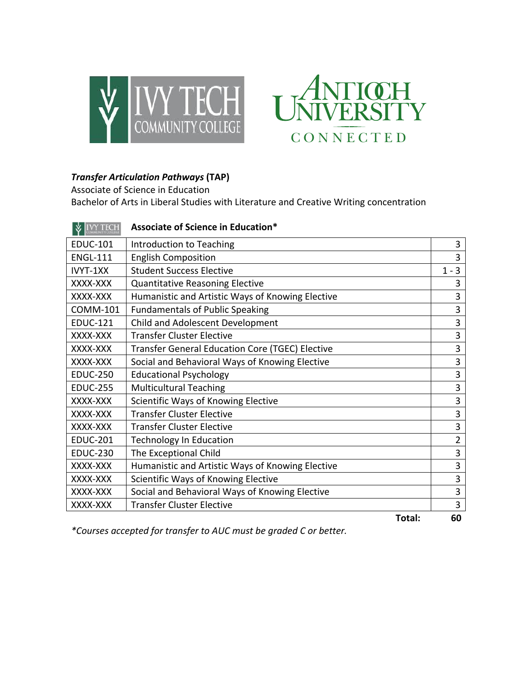



## *Transfer Articulation Pathways* **(TAP)**

Associate of Science in Education

Bachelor of Arts in Liberal Studies with Literature and Creative Writing concentration

|                 | Associate of Science in Education*               |                |
|-----------------|--------------------------------------------------|----------------|
| <b>EDUC-101</b> | Introduction to Teaching                         | 3              |
| <b>ENGL-111</b> | <b>English Composition</b>                       | 3              |
| IVYT-1XX        | <b>Student Success Elective</b>                  | $1 - 3$        |
| XXXX-XXX        | <b>Quantitative Reasoning Elective</b>           | 3              |
| XXXX-XXX        | Humanistic and Artistic Ways of Knowing Elective | 3              |
| <b>COMM-101</b> | <b>Fundamentals of Public Speaking</b>           | 3              |
| <b>EDUC-121</b> | Child and Adolescent Development                 | 3              |
| XXXX-XXX        | <b>Transfer Cluster Elective</b>                 | 3              |
| XXXX-XXX        | Transfer General Education Core (TGEC) Elective  | 3              |
| XXXX-XXX        | Social and Behavioral Ways of Knowing Elective   | 3              |
| <b>EDUC-250</b> | <b>Educational Psychology</b>                    | 3              |
| <b>EDUC-255</b> | <b>Multicultural Teaching</b>                    | 3              |
| XXXX-XXX        | Scientific Ways of Knowing Elective              | 3              |
| XXXX-XXX        | <b>Transfer Cluster Elective</b>                 | 3              |
| XXXX-XXX        | <b>Transfer Cluster Elective</b>                 | 3              |
| <b>EDUC-201</b> | <b>Technology In Education</b>                   | $\overline{2}$ |
| <b>EDUC-230</b> | The Exceptional Child                            | 3              |
| XXXX-XXX        | Humanistic and Artistic Ways of Knowing Elective | 3              |
| XXXX-XXX        | Scientific Ways of Knowing Elective              | 3              |
| XXXX-XXX        | Social and Behavioral Ways of Knowing Elective   | 3              |
| XXXX-XXX        | <b>Transfer Cluster Elective</b>                 | 3              |
|                 | Total:                                           | 60             |

*\*Courses accepted for transfer to AUC must be graded C or better.*